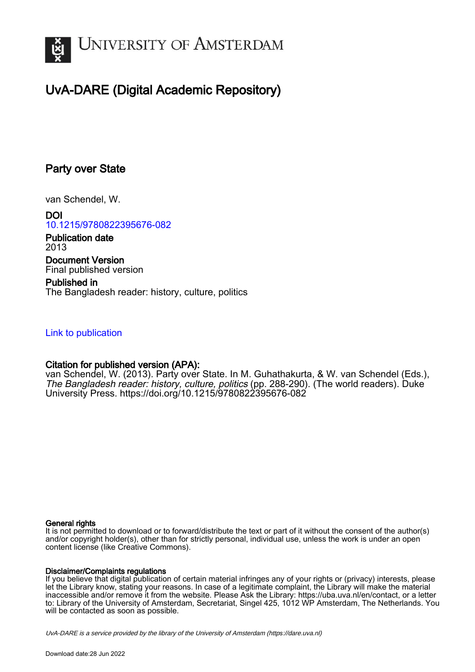

## UvA-DARE (Digital Academic Repository)

## Party over State

van Schendel, W.

DOI [10.1215/9780822395676-082](https://doi.org/10.1215/9780822395676-082)

Publication date 2013 Document Version

Final published version

Published in The Bangladesh reader: history, culture, politics

### [Link to publication](https://dare.uva.nl/personal/pure/en/publications/party-over-state(ec0891a0-de0b-42e7-a2fa-2b5f7a9d439d).html)

## Citation for published version (APA):

van Schendel, W. (2013). Party over State. In M. Guhathakurta, & W. van Schendel (Eds.), The Bangladesh reader: history, culture, politics (pp. 288-290). (The world readers). Duke University Press.<https://doi.org/10.1215/9780822395676-082>

#### General rights

It is not permitted to download or to forward/distribute the text or part of it without the consent of the author(s) and/or copyright holder(s), other than for strictly personal, individual use, unless the work is under an open content license (like Creative Commons).

#### Disclaimer/Complaints regulations

If you believe that digital publication of certain material infringes any of your rights or (privacy) interests, please let the Library know, stating your reasons. In case of a legitimate complaint, the Library will make the material inaccessible and/or remove it from the website. Please Ask the Library: https://uba.uva.nl/en/contact, or a letter to: Library of the University of Amsterdam, Secretariat, Singel 425, 1012 WP Amsterdam, The Netherlands. You will be contacted as soon as possible.

UvA-DARE is a service provided by the library of the University of Amsterdam (http*s*://dare.uva.nl)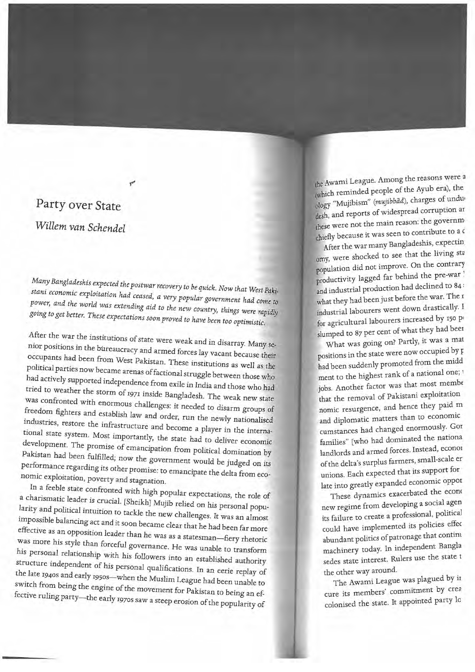# Party over State Willem van Schendel

Many Bangladeshis expected the postwar recovery to be quick. Now that West Pakistani economic exploitation had ceased, a very popular government had come to power, and the world was extending aid to the new country, things were rapidly going to get better. These expectations soon proved to have been too optimistic.

After the war the institutions of state were weak and in disarray. Many senior positions in the bureaucracy and armed forces lay vacant because their occupants had been from West Pakistan. These institutions as well as the political parties now became arenas of factional struggle between those who had actively supported independence from exile in India and those who had tried to weather the storm of 1971 inside Bangladesh. The weak new state was confronted with enormous challenges: it needed to disarm groups of freedom fighters and establish law and order, run the newly nationalised industries, restore the infrastructure and become a player in the international state system. Most importantly, the state had to deliver economic development. The promise of emancipation from political domination by Pakistan had been fulfilled; now the government would be judged on its performance regarding its other promise: to emancipate the delta from economic exploitation, poverty and stagnation.

In a feeble state confronted with high popular expectations, the role of a charismatic leader is crucial. [Sheikh] Mujib relied on his personal popularity and political intuition to tackle the new challenges. It was an almost impossible balancing act and it soon became clear that he had been far more effective as an opposition leader than he was as a statesman-fiery rhetoric was more his style than forceful governance. He was unable to transform his personal relationship with his followers into an established authority structure independent of his personal qualifications. In an eerie replay of the late 1940s and early 1950s-when the Muslim League had been unable to switch from being the engine of the movement for Pakistan to being an effective ruling party-the early 1970s saw a steep erosion of the popularity of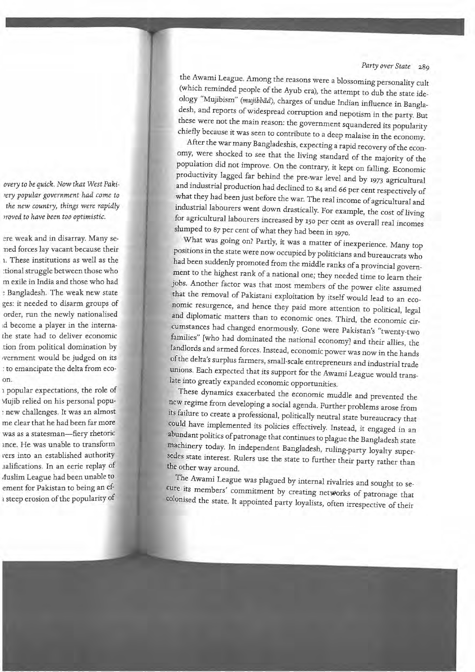the Awami League. Among the reasons were a blossoming personality cult (which reminded people of the Ayub era), the attempt to dub the state ideology "Mujibism" (mujibbad), charges of undue Indian influence in Bangladesh, and reports of widespread corruption and nepotism in the party. But these were not the main reason: the government squandered its popularity chiefly because it was seen to contribute to a deep malaise in the economy.

After the war many Bangladeshis, expecting a rapid recovery of the economy, were shocked to see that the living standard of the majority of the population did not improve. On the contrary, it kept on falling. Economic productivity lagged far behind the pre-war level and by 1973 agricultural and industrial production had declined to 84 and 66 per cent respectively of what they had been just before the war. The real income of agricultural and industrial labourers went down drastically. For example, the cost of living for agricultural labourers increased by 150 per cent as overall real incomes slumped to 87 per cent of what they had been in 1970.

What was going on? Partly, it was a matter of inexperience. Many top positions in the state were now occupied by politicians and bureaucrats who had been suddenly promoted from the middle ranks of a provincial government to the highest rank of a national one; they needed time to learn their jobs. Another factor was that most members of the power elite assumed that the removal of Pakistani exploitation by itself would lead to an economic resurgence, and hence they paid more attention to political, legal and diplomatic matters than to economic ones. Third, the economic circumstances had changed enormously. Gone were Pakistan's "twenty-two families" [who had dominated the national economy] and their allies, the landlords and armed forces. Instead, economic power was now in the hands of the delta's surplus farmers, small-scale entrepreneurs and industrial trade unions. Each expected that its support for the Awami League would translate into greatly expanded economic opportunities.

These dynamics exacerbated the economic muddle and prevented the new regime from developing a social agenda. Further problems arose from its failure to create a professional, politically neutral state bureaucracy that could have implemented its policies effectively. Instead, it engaged in an abundant politics of patronage that continues to plague the Bangladesh state machinery today. In independent Bangladesh, ruling-party loyalty supersedes state interest. Rulers use the state to further their party rather than the other way around.

The Awami League was plagued by internal rivalries and sought to secure its members' commitment by creating networks of patronage that colonised the state. It appointed party loyalists, often irrespective of their